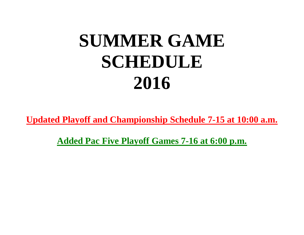## **SUMMER GAME SCHEDULE 2016**

**Updated Playoff and Championship Schedule 7-15 at 10:00 a.m.**

**Added Pac Five Playoff Games 7-16 at 6:00 p.m.**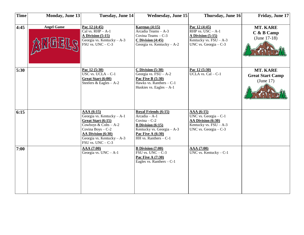| <b>Time</b> | <b>Monday, June 13</b> | <b>Tuesday, June 14</b>                                                                                                                                                                  | <b>Wednesday, June 15</b>                                                                                                                                          | Thursday, June 16                                                                                                 | Friday, June 17                                         |
|-------------|------------------------|------------------------------------------------------------------------------------------------------------------------------------------------------------------------------------------|--------------------------------------------------------------------------------------------------------------------------------------------------------------------|-------------------------------------------------------------------------------------------------------------------|---------------------------------------------------------|
| 4:45        | <b>Angel Game</b>      | Pac 12 (4:45)<br>Cal vs. $RHP - A-1$<br><b>A Division (5:15)</b><br>Georgia vs. Kentucky - A-3<br>FSU vs. $UNC - C-3$                                                                    | Karenas $(4:15)$<br>Arcadia Teams - A-3<br>Covina Teams - C-3<br>$C$ Division $(4:45)$<br>Georgia vs. Kentucky - A-2                                               | Pac 12 (4:45)<br>$RHP$ vs. USC - A-1<br>A Division $(5:15)$<br>Kentucky vs. $FSU - A-3$<br>UNC vs. Georgia $-C-3$ | MT. KARE<br>C & B Camp<br>(June $17-18$ )               |
| 5:30        |                        | Pac 12 (5:30)<br>USC vs. $UCLA - C-1$<br>Great Start (6:00)<br>Steelers & Eagles $-A-2$                                                                                                  | $C$ Division $(5:30)$<br>Georgia vs. $FSU - A-2$<br><b>Pac Five B (5:30)</b><br>Hawks vs. Ranthers $-C-1$<br>Huskies vs. Eagles $-A-1$                             | Pac 12 (5:30)<br>UCLA vs. $Cal - C-1$                                                                             | <b>MT. KARE</b><br><b>Great Start Camp</b><br>(June 17) |
| 6:15        |                        | AAA(6:15)<br>Georgia vs. Kentucky - A-1<br>Great Start (6:15)<br>Cowboys & Colts $-A-2$<br>Covina Boys $-C-2$<br>AA Division (6:30)<br>Georgia vs. Kentucky - A-3<br>FSU vs. $UNC - C-3$ | Royal Friends (6:15)<br>Arcadia - A-1<br>Covina $-C-2$<br><b>B</b> Division $(6:15)$<br>Kentucky vs. Georgia - A-3<br>Pac Five A (6:30)<br>HH vs. Ranthers $- C-1$ | AAA(6:15)<br>UNC vs. Georgia $-C-1$<br>AA Division (6:30)<br>Kentucky vs. $FSU - A-3$<br>UNC vs. Georgia $-C-3$   |                                                         |
| 7:00        |                        | AAA (7:00)<br>Georgia vs. $UNC - A-1$                                                                                                                                                    | <b>B</b> Division $(7:00)$<br>$FSU$ vs. $UNC - C-3$<br>Pac Five A (7:30)<br>Eagles vs. Ranthers $-C-1$                                                             | AAA (7:00)<br>UNC vs. Kentucky $-C-1$                                                                             |                                                         |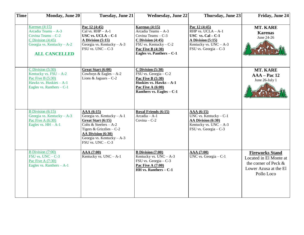| <b>Time</b> | <b>Monday, June 20</b>                                                                                                                         | <b>Tuesday, June 21</b>                                                                                                                                                                           | <b>Wednesday, June 22</b>                                                                                                                                                    | Thursday, June 23                                                                                                                      | Friday, June 24                                                                                                 |
|-------------|------------------------------------------------------------------------------------------------------------------------------------------------|---------------------------------------------------------------------------------------------------------------------------------------------------------------------------------------------------|------------------------------------------------------------------------------------------------------------------------------------------------------------------------------|----------------------------------------------------------------------------------------------------------------------------------------|-----------------------------------------------------------------------------------------------------------------|
|             | Karenas $(4:15)$<br>Arcadia Teams - A-3<br>Covina Teams - C-2<br>C Division $(4:45)$<br>Georgia vs. Kentucky $- A - 2$<br><b>ALL CANCELLED</b> | Pac 12 (4:45)<br>Cal vs. $RHP - A-1$<br>USC vs. $UCLA - C-1$<br><b>A Division (5:15)</b><br>Georgia vs. Kentucky - A-3<br>$FSU$ vs. $UNC - C-3$                                                   | Karenas $(4:15)$<br>Arcadia Teams - A-3<br>Covina Teams - C-3<br>$C$ Division $(4:45)$<br>FSU vs. Kentucky $-C-2$<br><b>Pac Five B (4:30)</b><br>Eagles vs. Panthers $- C-1$ | Pac 12 (4:45)<br>RHP vs. $UCLA - A-1$<br>USC vs. $Cal - C-1$<br>A Division (5:15)<br>Kentucky vs. $UNC - A-3$<br>FSU vs. Georgia - C-3 | <b>MT. KARE</b><br><b>Karenas</b><br>June 24-26                                                                 |
|             | C Division $(5:30)$<br>Kentucky vs. $FSU - A-2$<br>Pac Five B $(5:30)$<br>Hawks vs. Huskies $-A-1$<br>Eagles vs. Ranthers $-C-1$               | Great Start (6:00)<br>Cowboys & Eagles $-A-2$<br>Lions & Jaguars $-C-2$                                                                                                                           | $C$ Division $(5:30)$<br>FSU vs. Georgia - C-2<br><b>Pac Five B (5:30)</b><br>Huskies vs. Hawks $-A-1$<br>Pac Five A $(6:00)$<br>Ranthers vs. Eagles $- C-1$                 |                                                                                                                                        | <b>MT. KARE</b><br>$AAA - Pac 12$<br>June 26-July 1                                                             |
|             | B Division $(6:15)$<br>Georgia vs. Kentucky $- A - 3$<br>Pac Five A $(6:30)$<br>Eagles vs. $HH - A-1$                                          | AAA (6:15)<br>Georgia vs. Kentucky - A-1<br>Great Start (6:15)<br>Colts & Steelers $-A-2$<br>Tigers & Grizzlies $-C-2$<br>AA Division (6:30)<br>Georgia vs. Kentucky - A-3<br>FSU vs. $UNC - C-3$ | Royal Friends (6:15)<br>$\overline{Arcadia - A-1}$<br>Covina $-C-2$                                                                                                          | AAA (6:15)<br>UNC vs. Kentucky $-C-1$<br>AA Division (6:30)<br>Kentucky vs. $UNC - A-3$<br>FSU vs. Georgia - C-3                       |                                                                                                                 |
|             | B Division $(7:00)$<br>$FSU$ vs. $UNC - C-3$<br>Pac Five A $(7:30)$<br>Eagles vs. Ranthers $- A-1$                                             | AAA (7:00)<br>Kentucky vs. $UNC - A-1$                                                                                                                                                            | <b>B</b> Division (7:00)<br>Kentucky vs. $UNC - A-3$<br>FSU vs. Georgia - C-3<br><b>Pac Five A (7:00)</b><br><b>HH vs. Ranthers – C-1</b>                                    | AAA (7:00)<br>UNC vs. Georgia $-C-1$                                                                                                   | <b>Fireworks Stand</b><br>Located in El Monte at<br>the corner of Peck &<br>Lower Azusa at the El<br>Pollo Loco |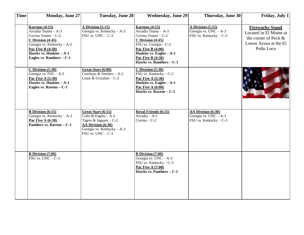| <b>Time</b> | <b>Monday, June 27</b>                                                                                                                                                                                     | <b>Tuesday, June 28</b>                                                                                                                           | <b>Wednesday, June 29</b>                                                                                                                                                                                                             | Thursday, June 30                                                        | Friday, July 1                                                                                                  |
|-------------|------------------------------------------------------------------------------------------------------------------------------------------------------------------------------------------------------------|---------------------------------------------------------------------------------------------------------------------------------------------------|---------------------------------------------------------------------------------------------------------------------------------------------------------------------------------------------------------------------------------------|--------------------------------------------------------------------------|-----------------------------------------------------------------------------------------------------------------|
|             | Karenas $(4:15)$<br>Arcadia Teams - A-3<br>Covina Teams - C-2<br>$C$ Division $(4:45)$<br>Georgia vs. Kentucky - A-2<br><b>Pac Five B (4:30)</b><br>Hawks vs. Huskies - A-1<br>Eagles vs. Ranthers $- C-1$ | A Division $(5:15)$<br>Georgia vs. Kentucky - A-3<br>FSU vs. $UNC - C-3$                                                                          | Karenas $(4:15)$<br>Arcadia Teams - A-3<br>Covina Teams - C-3<br>$C$ Division $(4:45)$<br>FSU vs. Georgia - C-2<br><b>Pac Five B (4:00)</b><br>Huskies vs. Eagles $- A - 1$<br><b>Pac Five B (4:30)</b><br>Hawks vs. Ranthers $- C-1$ | A Division $(5:15)$<br>Georgia vs. $UNC - A-3$<br>FSU vs. Kentucky - C-3 | <b>Fireworks Stand</b><br>Located in El Monte at<br>the corner of Peck &<br>Lower Azusa at the El<br>Pollo Loco |
|             | $C$ Division $(5:30)$<br>Georgia vs. $FSU - A-2$<br><b>Pac Five A (5:30)</b><br>Hawks vs. Huskies $-A-1$<br>Eagles vs. Ravens $- C-1$                                                                      | Great Start (6:00)<br>Cowboys & Steelers $-A-2$<br>Lions & Grizzlies $-C-2$                                                                       | $C$ Division $(5:30)$<br>FSU vs. Kentucky - C-2<br><b>Pac Five A (5:30)</b><br>Huskies vs. Eagles - A-1<br><b>Pac Five A (6:00)</b><br>Hawks vs. Ravens - C-1                                                                         |                                                                          |                                                                                                                 |
|             | <b>B</b> Division $(6:15)$<br>Georgia vs. Kentucky - A-3<br>Pac Five A $(6:30)$<br>Panthers vs. Ravens $- C-1$                                                                                             | Great Start (6:15)<br>Colts & Eagles $-A-2$<br>Tigers & Jaguars $-C-2$<br>AA Division (6:30)<br>Georgia vs. Kentucky - A-3<br>FSU vs. $UNC - C-3$ | Royal Friends (6:15)<br>Arcadia - A-1<br>Covina $-C-2$                                                                                                                                                                                | AA Division (6:30)<br>Georgia vs. $UNC - A-3$<br>FSU vs. Kentucky $-C-3$ |                                                                                                                 |
|             | <b>B</b> Division $(7:00)$<br>$\overline{\text{FSU vs. UNC} - C}$ -3                                                                                                                                       |                                                                                                                                                   | <b>B</b> Division $(7:00)$<br>Georgia vs. $UNC - A-3$<br>FSU vs. Kentucky $-C-3$<br><b>Pac Five A (7:00)</b><br>Hawks vs. Panthers $- C-1$                                                                                            |                                                                          |                                                                                                                 |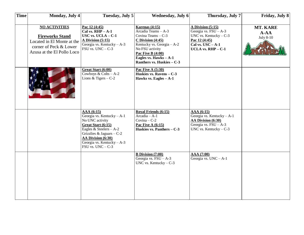| <b>Time</b> | <b>Monday</b> , July 4                                                                                                               | Tuesday, July 5                                                                                                                                                                                                          | <b>Wednesday</b> , July 6                                                                                                                                                                                                    | Thursday, July 7                                                                                                                                   | Friday, July 8                           |
|-------------|--------------------------------------------------------------------------------------------------------------------------------------|--------------------------------------------------------------------------------------------------------------------------------------------------------------------------------------------------------------------------|------------------------------------------------------------------------------------------------------------------------------------------------------------------------------------------------------------------------------|----------------------------------------------------------------------------------------------------------------------------------------------------|------------------------------------------|
|             | <b>NO ACTIVITIES</b><br><b>Fireworks Stand</b><br>Located in El Monte at the<br>corner of Peck & Lower<br>Azusa at the El Pollo Loco | Pac 12 (4:45)<br>Cal vs. $RHP - A-1$<br>USC vs. $UCLA - C-1$<br>A Division $(5:15)$<br>Georgia vs. Kentucky $- A - 3$<br>FSU vs. $UNC - C-3$                                                                             | Karenas $(4:15)$<br>Arcadia Teams - A-3<br>Covina Teams - C-3<br>$C$ Division $(4:45)$<br>Kentucky vs. Georgia - A-2<br>No FSU activity<br>Pac Five B $(4:00)$<br>Eagles vs. $Hawks - A-1$<br>Ranthers vs. Huskies $- C - 3$ | A Division (5:15)<br>Georgia vs. $\overline{FSU} - A-3$<br>UNC vs. Kentucky $-C-3$<br>Pac 12 (4:45)<br>Cal vs. $USC - A-1$<br>UCLA vs. $RHP - C-1$ | MT. KARE<br>$A - AA$<br><b>July 8-10</b> |
|             |                                                                                                                                      | Great Start (6:00)<br>Cowboys & Colts $-A-2$<br>Lions & Tigers $-C-2$                                                                                                                                                    | <b>Pac Five A (5:30)</b><br>Huskies vs. Ravens - C-3<br>Hawks vs. Eagles $- A - 1$                                                                                                                                           |                                                                                                                                                    |                                          |
|             |                                                                                                                                      | AAA (6:15)<br>Georgia vs. Kentucky - A-1<br>No UNC activity<br>Great Start (6:15)<br>Eagles & Steelers $-A-2$<br>Grizzlies & Jaguars $-C-2$<br>AA Division (6:30)<br>Georgia vs. Kentucky - A-3<br>$FSU$ vs. $UNC - C-3$ | <b>Royal Friends (6:15)</b><br>Arcadia - A-1<br>Covina $-C-2$<br>Pac Five A $(6:15)$<br>Huskies vs. Panthers - C-3                                                                                                           | AAA (6:15)<br>Georgia vs. Kentucky - A-1<br>AA Division (6:30)<br>Georgia vs. $FSU - A-3$<br>UNC vs. Kentucky $-C-3$                               |                                          |
|             |                                                                                                                                      |                                                                                                                                                                                                                          | <b>B</b> Division (7:00)<br>Georgia vs. $\overline{FSU}$ – A-3<br>UNC vs. Kentucky $-C-3$                                                                                                                                    | AAA (7:00)<br>Georgia vs. $UNC - A-1$                                                                                                              |                                          |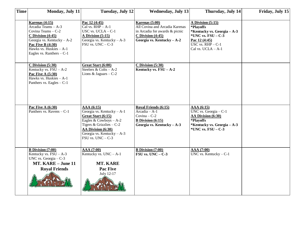| <b>Time</b> | Monday, July 11                                                                                                                                                                                           | <b>Tuesday, July 12</b>                                                                                                                                                                              | <b>Wednesday, July 13</b>                                                                                                                  | Thursday, July 14                                                                                                                                                | Friday, July 15 |
|-------------|-----------------------------------------------------------------------------------------------------------------------------------------------------------------------------------------------------------|------------------------------------------------------------------------------------------------------------------------------------------------------------------------------------------------------|--------------------------------------------------------------------------------------------------------------------------------------------|------------------------------------------------------------------------------------------------------------------------------------------------------------------|-----------------|
|             | Karenas $(4:15)$<br>Arcadia Teams - A-3<br>Covina Teams - C-2<br>$C$ Division $(4:45)$<br>Georgia vs. Kentucky - A-2<br><b>Pac Five B (4:30)</b><br>Hawks vs. Huskies - A-1<br>Eagles vs. Ranthers $-C-1$ | Pac 12 (4:45)<br>Cal vs. $RHP - A-1$<br>USC vs. $UCLA - C-1$<br>A Division $(5:15)$<br>Georgia vs. Kentucky - A-3<br>FSU vs. $UNC - C-3$                                                             | Karenas (5:00)<br>All Covina and Arcadia Karenas<br>in Arcadia for awards & picnic<br>$C$ Division $(4:45)$<br>Georgia vs. Kentucky $-A-2$ | A Division (5:15)<br>*Playoffs<br>*Kentucky vs. Georgia – A-3<br>*UNC vs. $\overline{FSU}$ – C-3<br>Pac 12 (4:45)<br>USC vs. $RHP - C-1$<br>Cal vs. $UCLA - A-1$ |                 |
|             | CDivision(5:30)<br>Kentucky vs. $FSU - A-2$<br><b>Pac Five A (5:30)</b><br>Hawks vs. Huskies - A-1<br>Panthers vs. Eagles $-C-1$                                                                          | Great Start (6:00)<br>Steelers & Colts $-A-2$<br>Lions & Jaguars $-C-2$                                                                                                                              | $C$ Division $(5:30)$<br>Kentucky vs. $\text{FSU} - \text{A-2}$                                                                            |                                                                                                                                                                  |                 |
|             | <b>Pac Five A (6:30)</b><br>Panthers vs. Ravens $-C-1$                                                                                                                                                    | AAA(6:15)<br>Georgia vs. Kentucky - A-1<br>Great Start (6:15)<br>Eagles & Cowboys $-A-2$<br>Tigers & Grizzlies $-C-2$<br>AA Division (6:30)<br>Georgia vs. Kentucky $- A - 3$<br>FSU vs. $UNC - C-3$ | Royal Friends (6:15)<br>Arcadia - A-1<br>$Covina - C-2$<br><b>B</b> Division $(6:15)$<br>Georgia vs. Kentucky $-A-3$                       | AAA(6:15)<br>UNC vs. Georgia $-$ C-1<br>AA Division (6:30)<br>*Playoffs<br>*Kentucky vs. Georgia $-A-3$<br>*UNC vs. $\text{FSU} - \text{C-3}$                    |                 |
|             | <b>B</b> Division (7:00)<br>Kentucky vs. $FSU - A-3$<br>UNC vs. Georgia $-C-3$<br>MT. KARE - June 11<br><b>Royal Friends</b>                                                                              | <b>AAA</b> (7:00)<br>Kentucky vs. $UNC - A-1$<br><b>MT. KARE</b><br><b>Pac Five</b><br>July 12-17                                                                                                    | <b>B</b> Division $(7:00)$<br>$\text{FSU}$ vs. UNC - C-3                                                                                   | AAA (7:00)<br>UNC vs. Kentucky $-C-1$                                                                                                                            |                 |